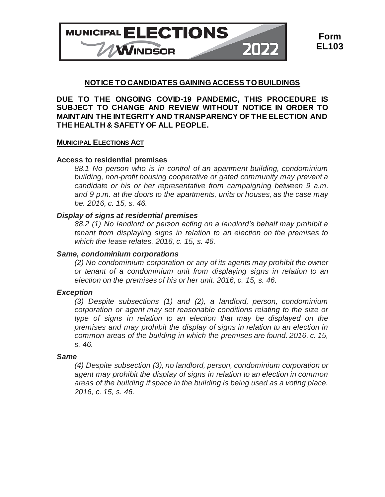

# **NOTICE TO CANDIDATES GAINING ACCESS TO BUILDINGS**

**DUE TO THE ONGOING COVID-19 PANDEMIC, THIS PROCEDURE IS SUBJECT TO CHANGE AND REVIEW WITHOUT NOTICE IN ORDER TO MAINTAIN THE INTEGRITY AND TRANSPARENCY OF THE ELECTION AND THE HEALTH & SAFETY OF ALL PEOPLE.**

## **MUNICIPAL ELECTIONS ACT**

## **Access to residential premises**

*88.1 No person who is in control of an apartment building, condominium building, non-profit housing cooperative or gated community may prevent a candidate or his or her representative from campaigning between 9 a.m. and 9 p.m. at the doors to the apartments, units or houses, as the case may be. 2016, c. 15, s. 46.*

## *Display of signs at residential premises*

*88.2 (1) No landlord or person acting on a landlord's behalf may prohibit a tenant from displaying signs in relation to an election on the premises to which the lease relates. 2016, c. 15, s. 46.*

#### *Same, condominium corporations*

*(2) No condominium corporation or any of its agents may prohibit the owner or tenant of a condominium unit from displaying signs in relation to an election on the premises of his or her unit. 2016, c. 15, s. 46.*

## *Exception*

*(3) Despite subsections (1) and (2), a landlord, person, condominium corporation or agent may set reasonable conditions relating to the size or type of signs in relation to an election that may be displayed on the premises and may prohibit the display of signs in relation to an election in common areas of the building in which the premises are found. 2016, c. 15, s. 46.*

#### *Same*

*(4) Despite subsection (3), no landlord, person, condominium corporation or agent may prohibit the display of signs in relation to an election in common areas of the building if space in the building is being used as a voting place. 2016, c. 15, s. 46.*